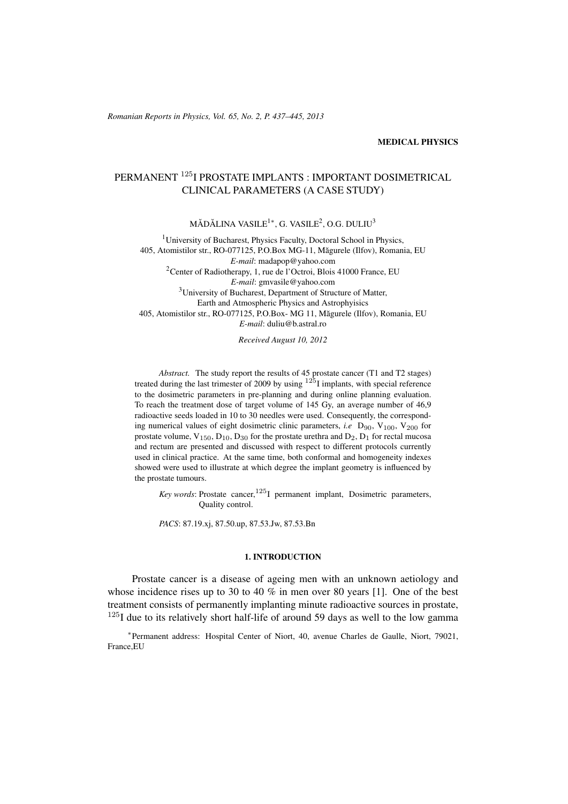#### MEDICAL PHYSICS

# PERMANENT <sup>125</sup>I PROSTATE IMPLANTS : IMPORTANT DOSIMETRICAL CLINICAL PARAMETERS (A CASE STUDY)

 $\rm M\check{A}D\check{A}LINA\;VASILE^{1*}, G.\;VASILE^{2}, O.G.\;DULIU^{3}$ 

<sup>1</sup>University of Bucharest, Physics Faculty, Doctoral School in Physics, 405, Atomistilor str., RO-077125, P.O.Box MG-11, Măgurele (Ilfov), Romania, EU *E-mail*: madapop@yahoo.com <sup>2</sup>Center of Radiotherapy, 1, rue de l'Octroi, Blois 41000 France, EU *E-mail*: gmvasile@yahoo.com <sup>3</sup>University of Bucharest, Department of Structure of Matter, Earth and Atmospheric Physics and Astrophyisics 405, Atomistilor str., RO-077125, P.O.Box- MG 11, Magurele (Ilfov), Romania, EU ˘ *E-mail*: duliu@b.astral.ro

*Received August 10, 2012*

*Abstract.* The study report the results of 45 prostate cancer (T1 and T2 stages) treated during the last trimester of 2009 by using  $125$ I implants, with special reference to the dosimetric parameters in pre-planning and during online planning evaluation. To reach the treatment dose of target volume of 145 Gy, an average number of 46,9 radioactive seeds loaded in 10 to 30 needles were used. Consequently, the corresponding numerical values of eight dosimetric clinic parameters, *i.e* D<sub>90</sub>, V<sub>100</sub>, V<sub>200</sub> for prostate volume,  $V_{150}$ ,  $D_{10}$ ,  $D_{30}$  for the prostate urethra and  $D_2$ ,  $D_1$  for rectal mucosa and rectum are presented and discussed with respect to different protocols currently used in clinical practice. At the same time, both conformal and homogeneity indexes showed were used to illustrate at which degree the implant geometry is influenced by the prostate tumours.

*Key words*: Prostate cancer,  $125$ <sub>I</sub> permanent implant, Dosimetric parameters, Quality control.

*PACS*: 87.19.xj, 87.50.up, 87.53.Jw, 87.53.Bn

#### 1. INTRODUCTION

Prostate cancer is a disease of ageing men with an unknown aetiology and whose incidence rises up to 30 to 40 % in men over 80 years [1]. One of the best treatment consists of permanently implanting minute radioactive sources in prostate,  $125$ I due to its relatively short half-life of around 59 days as well to the low gamma

∗ Permanent address: Hospital Center of Niort, 40, avenue Charles de Gaulle, Niort, 79021, France,EU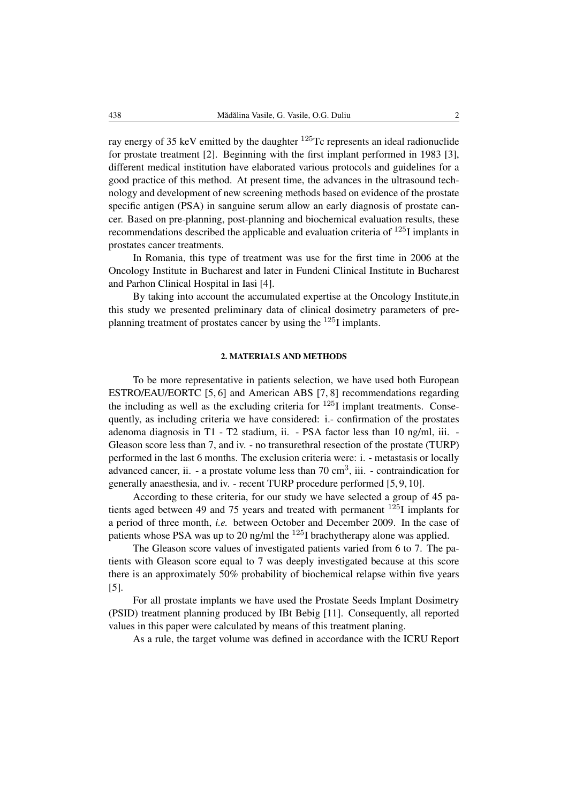ray energy of 35 keV emitted by the daughter  $^{125}$ Tc represents an ideal radionuclide for prostate treatment [2]. Beginning with the first implant performed in 1983 [3], different medical institution have elaborated various protocols and guidelines for a good practice of this method. At present time, the advances in the ultrasound technology and development of new screening methods based on evidence of the prostate specific antigen (PSA) in sanguine serum allow an early diagnosis of prostate cancer. Based on pre-planning, post-planning and biochemical evaluation results, these recommendations described the applicable and evaluation criteria of  $^{125}$ I implants in prostates cancer treatments.

In Romania, this type of treatment was use for the first time in 2006 at the Oncology Institute in Bucharest and later in Fundeni Clinical Institute in Bucharest and Parhon Clinical Hospital in Iasi [4].

By taking into account the accumulated expertise at the Oncology Institute,in this study we presented preliminary data of clinical dosimetry parameters of preplanning treatment of prostates cancer by using the <sup>125</sup>I implants.

#### 2. MATERIALS AND METHODS

To be more representative in patients selection, we have used both European ESTRO/EAU/EORTC [5, 6] and American ABS [7, 8] recommendations regarding the including as well as the excluding criteria for  $125I$  implant treatments. Consequently, as including criteria we have considered: i.- confirmation of the prostates adenoma diagnosis in T1 - T2 stadium, ii. - PSA factor less than 10 ng/ml, iii. - Gleason score less than 7, and iv. - no transurethral resection of the prostate (TURP) performed in the last 6 months. The exclusion criteria were: i. - metastasis or locally advanced cancer, ii. - a prostate volume less than  $70 \text{ cm}^3$ , iii. - contraindication for generally anaesthesia, and iv. - recent TURP procedure performed [5, 9, 10].

According to these criteria, for our study we have selected a group of 45 patients aged between 49 and 75 years and treated with permanent <sup>125</sup>I implants for a period of three month, *i.e.* between October and December 2009. In the case of patients whose PSA was up to 20 ng/ml the  $^{125}$ I brachytherapy alone was applied.

The Gleason score values of investigated patients varied from 6 to 7. The patients with Gleason score equal to 7 was deeply investigated because at this score there is an approximately 50% probability of biochemical relapse within five years [5].

For all prostate implants we have used the Prostate Seeds Implant Dosimetry (PSID) treatment planning produced by IBt Bebig [11]. Consequently, all reported values in this paper were calculated by means of this treatment planing.

As a rule, the target volume was defined in accordance with the ICRU Report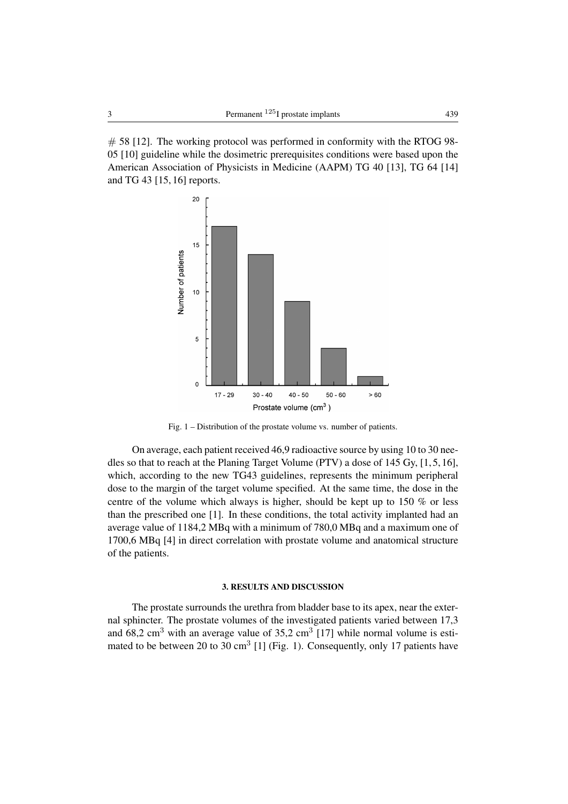$\#$  58 [12]. The working protocol was performed in conformity with the RTOG 98-05 [10] guideline while the dosimetric prerequisites conditions were based upon the American Association of Physicists in Medicine (AAPM) TG 40 [13], TG 64 [14] and TG 43 [15, 16] reports.



Fig. 1 – Distribution of the prostate volume vs. number of patients.

On average, each patient received 46,9 radioactive source by using 10 to 30 needles so that to reach at the Planing Target Volume (PTV) a dose of 145 Gy, [1, 5, 16], which, according to the new TG43 guidelines, represents the minimum peripheral dose to the margin of the target volume specified. At the same time, the dose in the centre of the volume which always is higher, should be kept up to 150 % or less than the prescribed one [1]. In these conditions, the total activity implanted had an average value of 1184,2 MBq with a minimum of 780,0 MBq and a maximum one of 1700,6 MBq [4] in direct correlation with prostate volume and anatomical structure of the patients.

## 3. RESULTS AND DISCUSSION

The prostate surrounds the urethra from bladder base to its apex, near the external sphincter. The prostate volumes of the investigated patients varied between 17,3 and 68,2 cm<sup>3</sup> with an average value of  $35,2$  cm<sup>3</sup> [17] while normal volume is estimated to be between 20 to 30  $\text{cm}^3$  [1] (Fig. 1). Consequently, only 17 patients have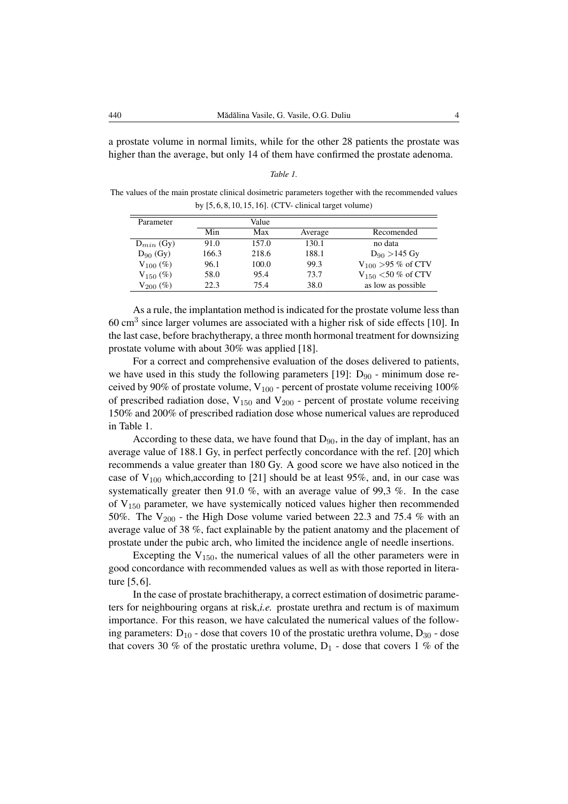a prostate volume in normal limits, while for the other 28 patients the prostate was higher than the average, but only 14 of them have confirmed the prostate adenoma.

| ,,, |  |
|-----|--|
|-----|--|

The values of the main prostate clinical dosimetric parameters together with the recommended values by [5, 6, 8, 10, 15, 16]. (CTV- clinical target volume)

| Parameter      |       | Value |         |                          |
|----------------|-------|-------|---------|--------------------------|
|                | Min   | Max   | Average | Recomended               |
| $D_{min}$ (Gy) | 91.0  | 157.0 | 130.1   | no data                  |
| $D_{90}$ (Gy)  | 166.3 | 218.6 | 188.1   | $D_{90} > 145$ Gy        |
| $V_{100}$ (%)  | 96.1  | 100.0 | 99.3    | $V_{100} > 95 \%$ of CTV |
| $V_{150}$ (%)  | 58.0  | 95.4  | 73.7    | $V_{150}$ <50 % of CTV   |
| $V_{200}$ (%)  | 22.3  | 75.4  | 38.0    | as low as possible       |

As a rule, the implantation method is indicated for the prostate volume less than 60 cm<sup>3</sup> since larger volumes are associated with a higher risk of side effects [10]. In the last case, before brachytherapy, a three month hormonal treatment for downsizing prostate volume with about 30% was applied [18].

For a correct and comprehensive evaluation of the doses delivered to patients, we have used in this study the following parameters [19]:  $D_{90}$  - minimum dose received by 90% of prostate volume,  $V_{100}$  - percent of prostate volume receiving 100% of prescribed radiation dose,  $V_{150}$  and  $V_{200}$  - percent of prostate volume receiving 150% and 200% of prescribed radiation dose whose numerical values are reproduced in Table 1.

According to these data, we have found that  $D_{90}$ , in the day of implant, has an average value of 188.1 Gy, in perfect perfectly concordance with the ref. [20] which recommends a value greater than 180 Gy. A good score we have also noticed in the case of  $V_{100}$  which, according to [21] should be at least 95%, and, in our case was systematically greater then 91.0 %, with an average value of 99,3 %. In the case of  $V_{150}$  parameter, we have systemically noticed values higher then recommended 50%. The  $V_{200}$  - the High Dose volume varied between 22.3 and 75.4 % with an average value of 38 %, fact explainable by the patient anatomy and the placement of prostate under the pubic arch, who limited the incidence angle of needle insertions.

Excepting the  $V_{150}$ , the numerical values of all the other parameters were in good concordance with recommended values as well as with those reported in literature [5, 6].

In the case of prostate brachitherapy, a correct estimation of dosimetric parameters for neighbouring organs at risk,*i.e.* prostate urethra and rectum is of maximum importance. For this reason, we have calculated the numerical values of the following parameters:  $D_{10}$  - dose that covers 10 of the prostatic urethra volume,  $D_{30}$  - dose that covers 30 % of the prostatic urethra volume,  $D_1$  - dose that covers 1 % of the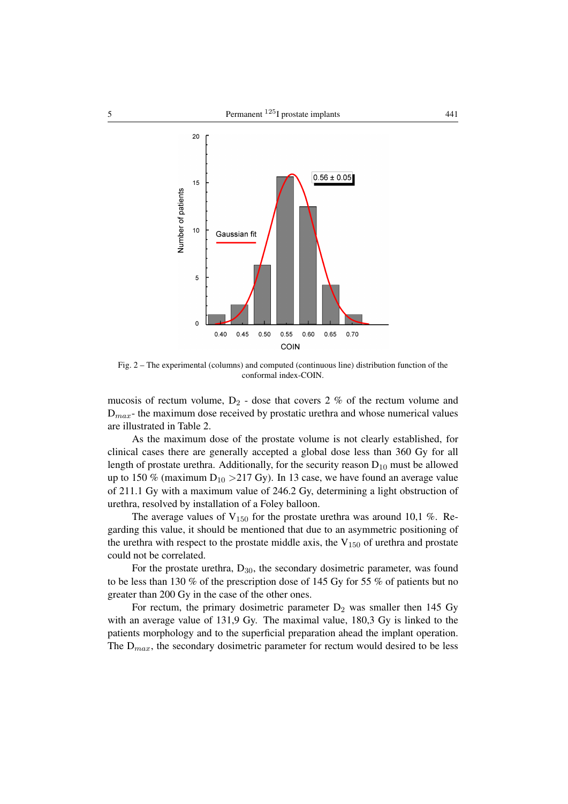

Fig. 2 – The experimental (columns) and computed (continuous line) distribution function of the conformal index-COIN.

mucosis of rectum volume,  $D_2$  - dose that covers 2 % of the rectum volume and  $D_{max}$ - the maximum dose received by prostatic urethra and whose numerical values are illustrated in Table 2.

As the maximum dose of the prostate volume is not clearly established, for clinical cases there are generally accepted a global dose less than 360 Gy for all length of prostate urethra. Additionally, for the security reason  $D_{10}$  must be allowed up to 150 % (maximum  $D_{10} > 217$  Gy). In 13 case, we have found an average value of 211.1 Gy with a maximum value of 246.2 Gy, determining a light obstruction of urethra, resolved by installation of a Foley balloon.

The average values of  $V_{150}$  for the prostate urethra was around 10,1 %. Regarding this value, it should be mentioned that due to an asymmetric positioning of the urethra with respect to the prostate middle axis, the  $V_{150}$  of urethra and prostate could not be correlated.

For the prostate urethra,  $D_{30}$ , the secondary dosimetric parameter, was found to be less than 130 % of the prescription dose of 145 Gy for 55 % of patients but no greater than 200 Gy in the case of the other ones.

For rectum, the primary dosimetric parameter  $D_2$  was smaller then 145 Gy with an average value of 131,9 Gy. The maximal value, 180,3 Gy is linked to the patients morphology and to the superficial preparation ahead the implant operation. The  $D_{max}$ , the secondary dosimetric parameter for rectum would desired to be less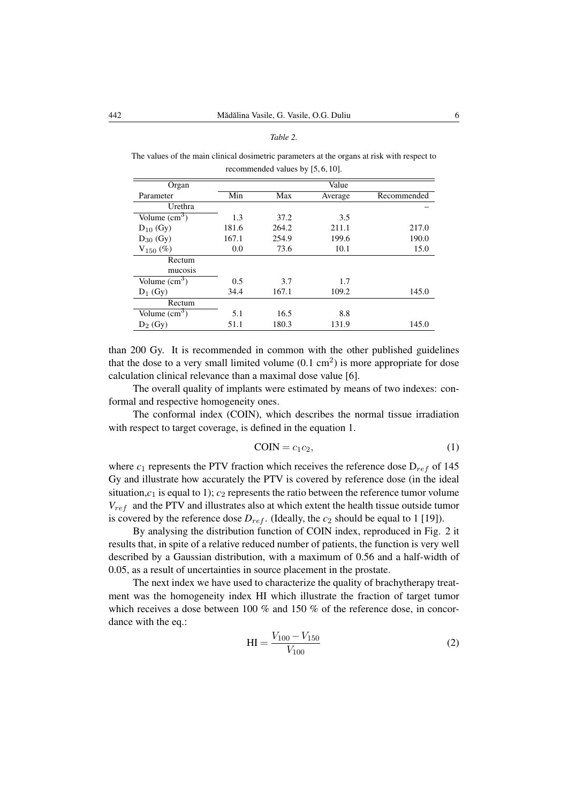#### *Table 2.*

The values of the main clinical dosimetric parameters at the organs at risk with respect to recommended values by [5, 6, 10].

| Organ                  |       |       | Value   |             |
|------------------------|-------|-------|---------|-------------|
| Parameter              | Min   | Max   | Average | Recommended |
| Urethra                |       |       |         |             |
| Volume $\text{cm}^3$ ) | 1.3   | 37.2  | 3.5     |             |
| $D_{10}$ (Gy)          | 181.6 | 264.2 | 211.1   | 217.0       |
| $D_{30}$ (Gy)          | 167.1 | 254.9 | 199.6   | 190.0       |
| $V_{150}$ (%)          | 0.0   | 73.6  | 10.1    | 15.0        |
| Rectum                 |       |       |         |             |
| mucosis                |       |       |         |             |
| Volume $\text{cm}^3$ ) | 0.5   | 3.7   | 1.7     |             |
| $D_1$ (Gy)             | 34.4  | 167.1 | 109.2   | 145.0       |
| Rectum                 |       |       |         |             |
| Volume $\text{cm}^3$ ) | 5.1   | 16.5  | 8.8     |             |
| $D_2$ (Gy)             | 51.1  | 180.3 | 131.9   | 145.0       |

than 200 Gy. It is recommended in common with the other published guidelines that the dose to a very small limited volume  $(0.1 \text{ cm}^2)$  is more appropriate for dose calculation clinical relevance than a maximal dose value [6].

The overall quality of implants were estimated by means of two indexes: conformal and respective homogeneity ones.

The conformal index (COIN), which describes the normal tissue irradiation with respect to target coverage, is defined in the equation 1.

$$
COIN = c_1 c_2,\tag{1}
$$

where  $c_1$  represents the PTV fraction which receives the reference dose  $D_{ref}$  of 145 Gy and illustrate how accurately the PTV is covered by reference dose (in the ideal situation, $c_1$  is equal to 1);  $c_2$  represents the ratio between the reference tumor volume  $V_{ref}$  and the PTV and illustrates also at which extent the health tissue outside tumor is covered by the reference dose  $D_{ref}$ . (Ideally, the  $c_2$  should be equal to 1 [19]).

By analysing the distribution function of COIN index, reproduced in Fig. 2 it results that, in spite of a relative reduced number of patients, the function is very well described by a Gaussian distribution, with a maximum of 0.56 and a half-width of 0.05, as a result of uncertainties in source placement in the prostate.

The next index we have used to characterize the quality of brachytherapy treatment was the homogeneity index HI which illustrate the fraction of target tumor which receives a dose between 100 % and 150 % of the reference dose, in concordance with the eq.:

$$
HI = \frac{V_{100} - V_{150}}{V_{100}}
$$
 (2)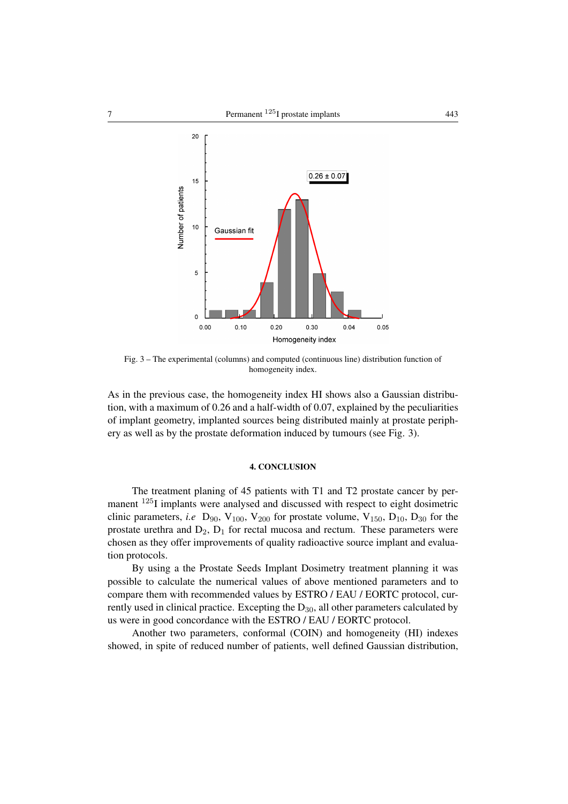

Fig. 3 – The experimental (columns) and computed (continuous line) distribution function of homogeneity index.

As in the previous case, the homogeneity index HI shows also a Gaussian distribution, with a maximum of 0.26 and a half-width of 0.07, explained by the peculiarities of implant geometry, implanted sources being distributed mainly at prostate periphery as well as by the prostate deformation induced by tumours (see Fig. 3).

## 4. CONCLUSION

The treatment planing of 45 patients with T1 and T2 prostate cancer by permanent <sup>125</sup>I implants were analysed and discussed with respect to eight dosimetric clinic parameters, *i.e*  $D_{90}$ ,  $V_{100}$ ,  $V_{200}$  for prostate volume,  $V_{150}$ ,  $D_{10}$ ,  $D_{30}$  for the prostate urethra and  $D_2$ ,  $D_1$  for rectal mucosa and rectum. These parameters were chosen as they offer improvements of quality radioactive source implant and evaluation protocols.

By using a the Prostate Seeds Implant Dosimetry treatment planning it was possible to calculate the numerical values of above mentioned parameters and to compare them with recommended values by ESTRO / EAU / EORTC protocol, currently used in clinical practice. Excepting the  $D_{30}$ , all other parameters calculated by us were in good concordance with the ESTRO / EAU / EORTC protocol.

Another two parameters, conformal (COIN) and homogeneity (HI) indexes showed, in spite of reduced number of patients, well defined Gaussian distribution,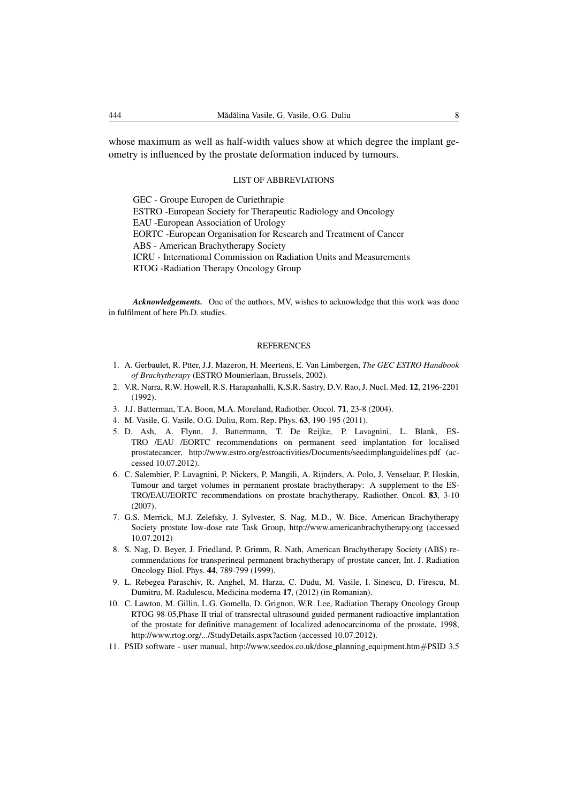whose maximum as well as half-width values show at which degree the implant geometry is influenced by the prostate deformation induced by tumours.

## LIST OF ABBREVIATIONS

GEC - Groupe Europen de Curiethrapie ESTRO -European Society for Therapeutic Radiology and Oncology EAU -European Association of Urology EORTC -European Organisation for Research and Treatment of Cancer ABS - American Brachytherapy Society ICRU - International Commission on Radiation Units and Measurements RTOG -Radiation Therapy Oncology Group

*Acknowledgements.* One of the authors, MV, wishes to acknowledge that this work was done in fulfilment of here Ph.D. studies.

#### REFERENCES

- 1. A. Gerbaulet, R. Ptter, J.J. Mazeron, H. Meertens, E. Van Limbergen, *The GEC ESTRO Handbook of Brachytherapy* (ESTRO Mounierlaan, Brussels, 2002).
- 2. V.R. Narra, R.W. Howell, R.S. Harapanhalli, K.S.R. Sastry, D.V. Rao, J. Nucl. Med. 12, 2196-2201 (1992).
- 3. J.J. Batterman, T.A. Boon, M.A. Moreland, Radiother. Oncol. 71, 23-8 (2004).
- 4. M. Vasile, G. Vasile, O.G. Duliu, Rom. Rep. Phys. 63, 190-195 (2011).
- 5. D. Ash, A. Flynn, J. Battermann, T. De Reijke, P. Lavagnini, L. Blank, ES-TRO /EAU /EORTC recommendations on permanent seed implantation for localised prostatecancer, http://www.estro.org/estroactivities/Documents/seedimplanguidelines.pdf (accessed 10.07.2012).
- 6. C. Salembier, P. Lavagnini, P. Nickers, P. Mangili, A. Rijnders, A. Polo, J. Venselaar, P. Hoskin, Tumour and target volumes in permanent prostate brachytherapy: A supplement to the ES-TRO/EAU/EORTC recommendations on prostate brachytherapy, Radiother. Oncol. 83, 3-10 (2007).
- 7. G.S. Merrick, M.J. Zelefsky, J. Sylvester, S. Nag, M.D., W. Bice, American Brachytherapy Society prostate low-dose rate Task Group, http://www.americanbrachytherapy.org (accessed 10.07.2012)
- 8. S. Nag, D. Beyer, J. Friedland, P. Grimm, R. Nath, American Brachytherapy Society (ABS) recommendations for transperineal permanent brachytherapy of prostate cancer, Int. J. Radiation Oncology Biol. Phys. 44, 789-799 (1999).
- 9. L. Rebegea Paraschiv, R. Anghel, M. Harza, C. Dudu, M. Vasile, I. Sinescu, D. Firescu, M. Dumitru, M. Radulescu, Medicina moderna 17, (2012) (in Romanian).
- 10. C. Lawton, M. Gillin, L.G. Gomella, D. Grignon, W.R. Lee, Radiation Therapy Oncology Group RTOG 98-05,Phase II trial of transrectal ultrasound guided permanent radioactive implantation of the prostate for definitive management of localized adenocarcinoma of the prostate, 1998, http://www.rtog.org/.../StudyDetails.aspx?action (accessed 10.07.2012).
- 11. PSID software user manual, http://www.seedos.co.uk/dose planning equipment.htm#PSID 3.5